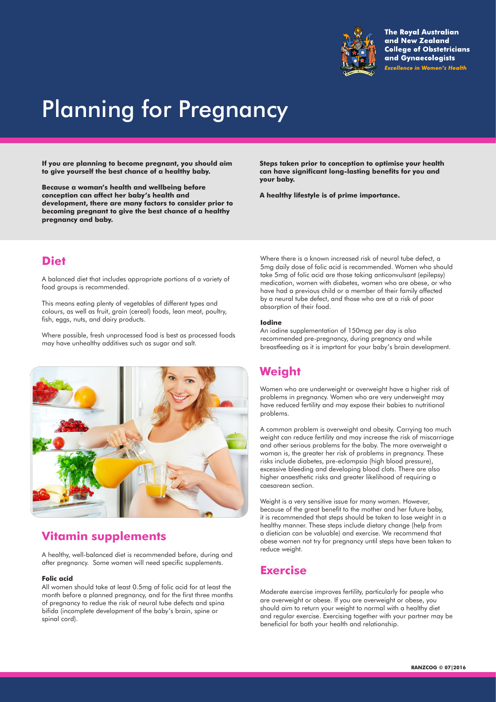

**The Royal Australian** and New Zealand **College of Obstetricians** and Gynaecologists **Excellence in Women's Health** 

# Planning for Pregnancy

**If you are planning to become pregnant, you should aim to give yourself the best chance of a healthy baby.** 

**Because a woman's health and wellbeing before conception can affect her baby's health and development, there are many factors to consider prior to becoming pregnant to give the best chance of a healthy pregnancy and baby.**

**Steps taken prior to conception to optimise your health can have significant long-lasting benefits for you and your baby.**

**A healthy lifestyle is of prime importance.**

### **Diet**

A balanced diet that includes appropriate portions of a variety of food groups is recommended.

This means eating plenty of vegetables of different types and colours, as well as fruit, grain (cereal) foods, lean meat, poultry, fish, eggs, nuts, and dairy products.

Where possible, fresh unprocessed food is best as processed foods may have unhealthy additives such as sugar and salt.



# **Vitamin supplements**

A healthy, well-balanced diet is recommended before, during and after pregnancy. Some women will need specific supplements.

#### **Folic acid**

All women should take at least 0.5mg of folic acid for at least the month before a planned pregnancy, and for the first three months of pregnancy to redue the risk of neural tube defects and spina bifida (incomplete development of the baby's brain, spine or spinal cord).

Where there is a known increased risk of neural tube defect, a 5mg daily dose of folic acid is recommended. Women who should take 5mg of folic acid are those taking anticonvulsant (epilepsy) medication, women with diabetes, women who are obese, or who have had a previous child or a member of their family affected by a neural tube defect, and those who are at a risk of poor absorption of their food.

#### **Iodine**

An iodine supplementation of 150mcg per day is also recommended pre-pregnancy, during pregnancy and while breastfeeding as it is imprtant for your baby's brain development.

# **Weight**

Women who are underweight or overweight have a higher risk of problems in pregnancy. Women who are very underweight may have reduced fertility and may expose their babies to nutritional problems.

A common problem is overweight and obesity. Carrying too much weight can reduce fertility and may increase the risk of miscarriage and other serious problems for the baby. The more overweight a woman is, the greater her risk of problems in pregnancy. These risks include diabetes, pre-eclampsia (high blood pressure), excessive bleeding and developing blood clots. There are also higher anaesthetic risks and greater likelihood of requiring a caesarean section.

Weight is a very sensitive issue for many women. However, because of the great benefit to the mother and her future baby, it is recommended that steps should be taken to lose weight in a healthy manner. These steps include dietary change (help from a dietician can be valuable) and exercise. We recommend that obese women not try for pregnancy until steps have been taken to reduce weight.

### **Exercise**

Moderate exercise improves fertility, particularly for people who are overweight or obese. If you are overweight or obese, you should aim to return your weight to normal with a healthy diet and regular exercise. Exercising together with your partner may be beneficial for both your health and relationship.